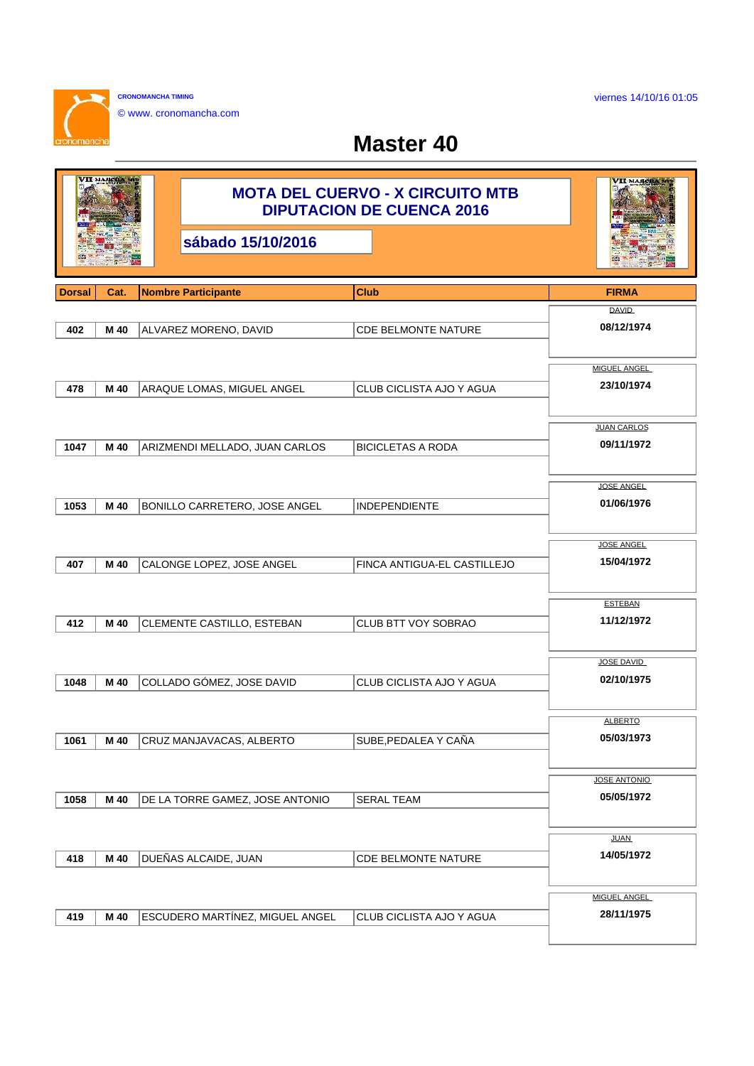viernes 14/10/16 01:05

٦

**CRONOMANCHA TIMING** © www. cronomancha.com

 $\mathbf{r}$ 

## **Master 40**

| VII MAJICHA   |      |                       | <b>MOTA DEL CUERVO - X CIRCUITO MTB</b><br><b>DIPUTACION DE CUENCA 2016</b> | VII MAJICHA                 |                                   |
|---------------|------|-----------------------|-----------------------------------------------------------------------------|-----------------------------|-----------------------------------|
|               |      |                       | sábado 15/10/2016                                                           |                             |                                   |
| <b>Dorsal</b> | Cat. |                       | <b>Nombre Participante</b>                                                  | <b>Club</b>                 | <b>FIRMA</b>                      |
|               |      |                       |                                                                             |                             | <b>DAVID</b>                      |
| 402           | M 40 | ALVAREZ MORENO, DAVID |                                                                             | <b>CDE BELMONTE NATURE</b>  | 08/12/1974                        |
|               |      |                       |                                                                             |                             |                                   |
|               |      |                       |                                                                             |                             | <b>MIGUEL ANGEL</b><br>23/10/1974 |
| 478           | M 40 |                       | ARAQUE LOMAS, MIGUEL ANGEL                                                  | CLUB CICLISTA AJO Y AGUA    |                                   |
|               |      |                       |                                                                             |                             | <b>JUAN CARLOS</b>                |
| 1047          | M 40 |                       | ARIZMENDI MELLADO, JUAN CARLOS                                              | <b>BICICLETAS A RODA</b>    | 09/11/1972                        |
|               |      |                       |                                                                             |                             |                                   |
|               |      |                       |                                                                             |                             | <b>JOSE ANGEL</b>                 |
| 1053          | M 40 |                       | BONILLO CARRETERO, JOSE ANGEL                                               | <b>INDEPENDIENTE</b>        | 01/06/1976                        |
|               |      |                       |                                                                             |                             |                                   |
|               |      |                       |                                                                             |                             | <b>JOSE ANGEL</b>                 |
| 407           | M 40 |                       | CALONGE LOPEZ, JOSE ANGEL                                                   | FINCA ANTIGUA-EL CASTILLEJO | 15/04/1972                        |
|               |      |                       |                                                                             |                             |                                   |
|               |      |                       |                                                                             |                             | <b>ESTEBAN</b>                    |
| 412           | M 40 |                       | CLEMENTE CASTILLO, ESTEBAN                                                  | CLUB BTT VOY SOBRAO         | 11/12/1972                        |
|               |      |                       |                                                                             |                             |                                   |
| 1048          | M 40 |                       | COLLADO GÓMEZ, JOSE DAVID                                                   | CLUB CICLISTA AJO Y AGUA    | <b>JOSE DAVID</b><br>02/10/1975   |
|               |      |                       |                                                                             |                             |                                   |
|               |      |                       |                                                                             |                             | <b>ALBERTO</b>                    |
| 1061          | M 40 |                       | CRUZ MANJAVACAS, ALBERTO                                                    | SUBE, PEDALEA Y CAÑA        | 05/03/1973                        |
|               |      |                       |                                                                             |                             |                                   |
|               |      |                       |                                                                             |                             | <b>JOSE ANTONIO</b>               |
| 1058          | M 40 |                       | DE LA TORRE GAMEZ, JOSE ANTONIO                                             | <b>SERAL TEAM</b>           | 05/05/1972                        |
|               |      |                       |                                                                             |                             |                                   |
|               |      |                       |                                                                             |                             | <b>JUAN</b>                       |
| 418           | M 40 |                       | DUEÑAS ALCAIDE, JUAN                                                        | CDE BELMONTE NATURE         | 14/05/1972                        |
|               |      |                       |                                                                             |                             |                                   |
|               |      |                       |                                                                             |                             | <b>MIGUEL ANGEL</b>               |
| 419           | M 40 |                       | ESCUDERO MARTÍNEZ, MIGUEL ANGEL                                             | CLUB CICLISTA AJO Y AGUA    | 28/11/1975                        |
|               |      |                       |                                                                             |                             |                                   |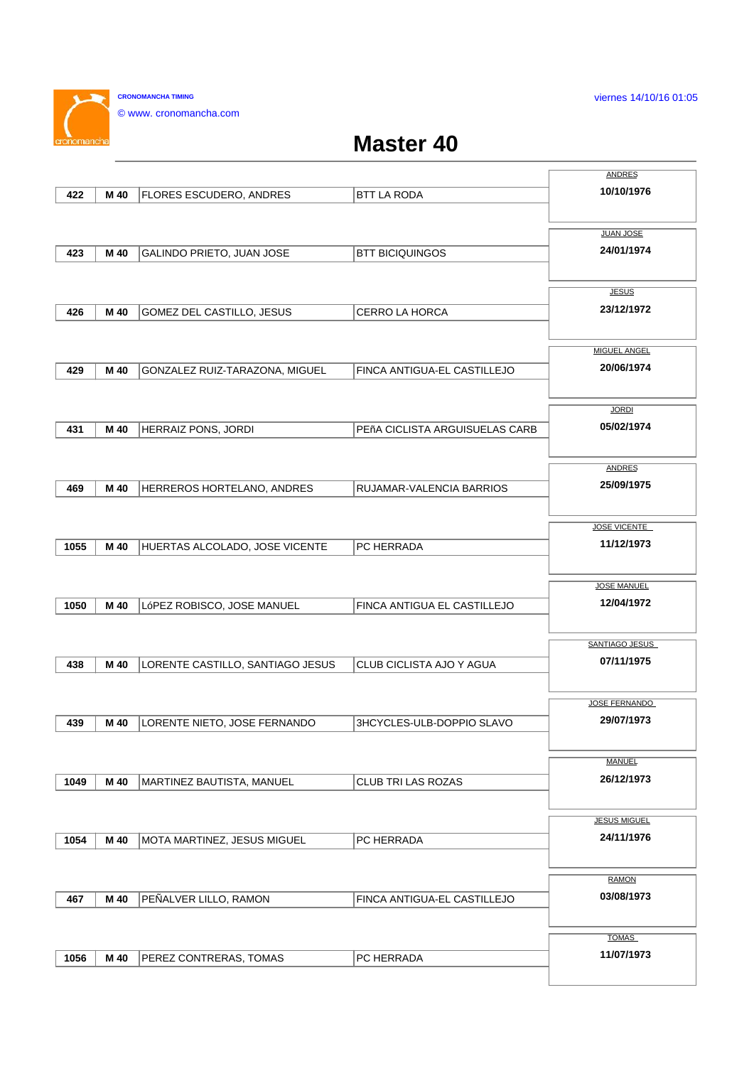viernes 14/10/16 01:05

**CRONOMANCHA TIMING** © www. cronomancha.com

 $\sim$ 

## **Master 40**

|      |      |                                  |                                | <b>ANDRES</b>       |
|------|------|----------------------------------|--------------------------------|---------------------|
| 422  | M 40 | FLORES ESCUDERO, ANDRES          | <b>BTT LA RODA</b>             | 10/10/1976          |
|      |      |                                  |                                |                     |
|      |      |                                  |                                |                     |
|      |      |                                  |                                | <b>JUAN JOSE</b>    |
| 423  | M 40 | GALINDO PRIETO, JUAN JOSE        | <b>BTT BICIQUINGOS</b>         | 24/01/1974          |
|      |      |                                  |                                |                     |
|      |      |                                  |                                | <b>JESUS</b>        |
| 426  | M 40 | GOMEZ DEL CASTILLO, JESUS        | <b>CERRO LA HORCA</b>          | 23/12/1972          |
|      |      |                                  |                                |                     |
|      |      |                                  |                                |                     |
|      |      |                                  |                                | <b>MIGUEL ANGEL</b> |
| 429  | M 40 | GONZALEZ RUIZ-TARAZONA, MIGUEL   | FINCA ANTIGUA-EL CASTILLEJO    | 20/06/1974          |
|      |      |                                  |                                |                     |
|      |      |                                  |                                | <b>JORDI</b>        |
| 431  | M 40 | HERRAIZ PONS, JORDI              | PEñA CICLISTA ARGUISUELAS CARB | 05/02/1974          |
|      |      |                                  |                                |                     |
|      |      |                                  |                                |                     |
|      |      |                                  |                                | <b>ANDRES</b>       |
| 469  | M 40 | HERREROS HORTELANO, ANDRES       | RUJAMAR-VALENCIA BARRIOS       | 25/09/1975          |
|      |      |                                  |                                |                     |
|      |      |                                  |                                | <b>JOSE VICENTE</b> |
|      |      |                                  |                                | 11/12/1973          |
| 1055 | M 40 | HUERTAS ALCOLADO, JOSE VICENTE   | PC HERRADA                     |                     |
|      |      |                                  |                                |                     |
|      |      |                                  |                                | <b>JOSE MANUEL</b>  |
| 1050 | M 40 | LóPEZ ROBISCO, JOSE MANUEL       | FINCA ANTIGUA EL CASTILLEJO    | 12/04/1972          |
|      |      |                                  |                                |                     |
|      |      |                                  |                                | SANTIAGO JESUS      |
|      |      |                                  |                                |                     |
| 438  | M 40 | LORENTE CASTILLO, SANTIAGO JESUS | CLUB CICLISTA AJO Y AGUA       | 07/11/1975          |
|      |      |                                  |                                |                     |
|      |      |                                  |                                | JOSE FERNANDO       |
| 439  | M 40 | LORENTE NIETO, JOSE FERNANDO     | 3HCYCLES-ULB-DOPPIO SLAVO      | 29/07/1973          |
|      |      |                                  |                                |                     |
|      |      |                                  |                                |                     |
|      |      |                                  |                                | <b>MANUEL</b>       |
| 1049 | M 40 | MARTINEZ BAUTISTA, MANUEL        | CLUB TRI LAS ROZAS             | 26/12/1973          |
|      |      |                                  |                                |                     |
|      |      |                                  |                                | <b>JESUS MIGUEL</b> |
| 1054 | M 40 | MOTA MARTINEZ, JESUS MIGUEL      | PC HERRADA                     | 24/11/1976          |
|      |      |                                  |                                |                     |
|      |      |                                  |                                |                     |
|      |      |                                  |                                | <b>RAMON</b>        |
| 467  | M 40 | PEÑALVER LILLO, RAMON            | FINCA ANTIGUA-EL CASTILLEJO    | 03/08/1973          |
|      |      |                                  |                                |                     |
|      |      |                                  |                                | <b>TOMAS</b>        |
| 1056 |      |                                  |                                | 11/07/1973          |
|      | M 40 | PEREZ CONTRERAS, TOMAS           | PC HERRADA                     |                     |
|      |      |                                  |                                |                     |